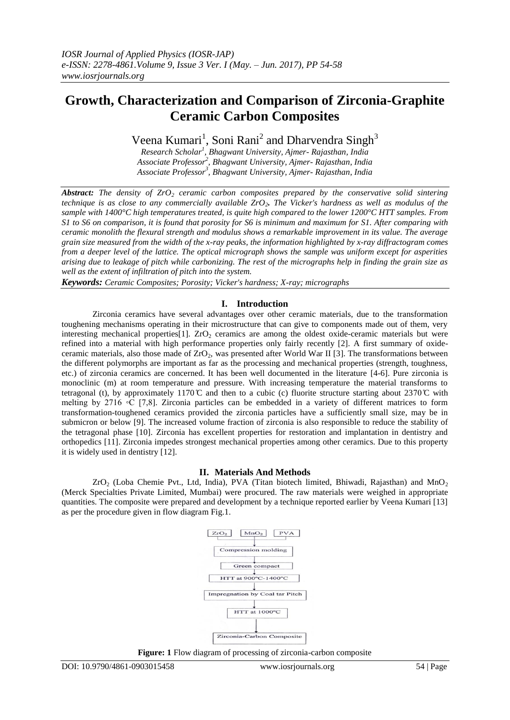# **Growth, Characterization and Comparison of Zirconia-Graphite Ceramic Carbon Composites**

Veena Kumari<sup>1</sup>, Soni Rani<sup>2</sup> and Dharvendra Singh<sup>3</sup>

*Research Scholar<sup>1</sup> , Bhagwant University, Ajmer- Rajasthan, India Associate Professor<sup>2</sup> , Bhagwant University, Ajmer- Rajasthan, India Associate Professor<sup>3</sup> , Bhagwant University, Ajmer- Rajasthan, India*

*Abstract: The density of ZrO<sup>2</sup> ceramic carbon composites prepared by the conservative solid sintering technique is as close to any commercially available ZrO2. The Vicker's hardness as well as modulus of the sample with 1400°C high temperatures treated, is quite high compared to the lower 1200°C HTT samples. From S1 to S6 on comparison, it is found that porosity for S6 is minimum and maximum for S1. After comparing with ceramic monolith the flexural strength and modulus shows a remarkable improvement in its value. The average grain size measured from the width of the x-ray peaks, the information highlighted by x-ray diffractogram comes from a deeper level of the lattice. The optical micrograph shows the sample was uniform except for asperities arising due to leakage of pitch while carbonizing. The rest of the micrographs help in finding the grain size as well as the extent of infiltration of pitch into the system.*

*Keywords: Ceramic Composites; Porosity; Vicker's hardness; X-ray; micrographs*

### **I. Introduction**

Zirconia ceramics have several advantages over other ceramic materials, due to the transformation toughening mechanisms operating in their microstructure that can give to components made out of them, very interesting mechanical properties [1].  $ZrO<sub>2</sub>$  ceramics are among the oldest oxide-ceramic materials but were refined into a material with high performance properties only fairly recently [2]. A first summary of oxideceramic materials, also those made of  $ZrO<sub>2</sub>$ , was presented after World War II [3]. The transformations between the different polymorphs are important as far as the processing and mechanical properties (strength, toughness, etc.) of zirconia ceramics are concerned. It has been well documented in the literature [4-6]. Pure zirconia is monoclinic (m) at room temperature and pressure. With increasing temperature the material transforms to tetragonal (t), by approximately 1170 °C and then to a cubic (c) fluorite structure starting about 2370 °C with melting by 2716  $\circ$ C [7,8]. Zirconia particles can be embedded in a variety of different matrices to form transformation-toughened ceramics provided the zirconia particles have a sufficiently small size, may be in submicron or below [9]. The increased volume fraction of zirconia is also responsible to reduce the stability of the tetragonal phase [10]. Zirconia has excellent properties for restoration and implantation in dentistry and orthopedics [11]. Zirconia impedes strongest mechanical properties among other ceramics. Due to this property it is widely used in dentistry [12].

## **II. Materials And Methods**

 $ZrO<sub>2</sub>$  (Loba Chemie Pvt., Ltd, India), PVA (Titan biotech limited, Bhiwadi, Rajasthan) and MnO<sub>2</sub> (Merck Specialties Private Limited, Mumbai) were procured. The raw materials were weighed in appropriate quantities. The composite were prepared and development by a technique reported earlier by Veena Kumari [13] as per the procedure given in flow diagram Fig.1.



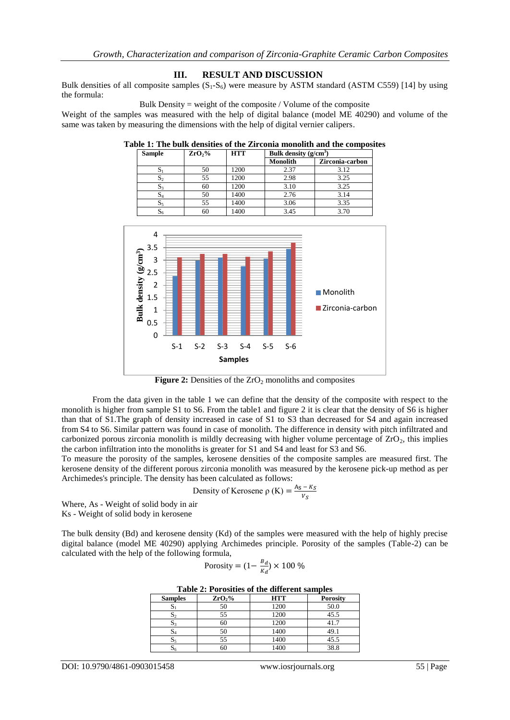### **III. RESULT AND DISCUSSION**

Bulk densities of all composite samples  $(S_1-S_6)$  were measure by ASTM standard (ASTM C559) [14] by using the formula:

Bulk Density = weight of the composite / Volume of the composite

Weight of the samples was measured with the help of digital balance (model ME 40290) and volume of the same was taken by measuring the dimensions with the help of digital vernier calipers.

| <b>Sample</b>             | ZrO <sub>2</sub> % | <b>HTT</b> | Bulk density $(g/cm^3)$ |                 |
|---------------------------|--------------------|------------|-------------------------|-----------------|
|                           |                    |            | <b>Monolith</b>         | Zirconia-carbon |
| اد                        | 50                 | 1200       | 2.37                    | 3.12            |
| $\mathbf{D}$ <sub>2</sub> | 55                 | 1200       | 2.98                    | 3.25            |
| $S_3$                     | 60                 | 1200       | 3.10                    | 3.25            |
| $S_4$                     | 50                 | 1400       | 2.76                    | 3.14            |
| $\mathbf{D}_5$            | 55                 | 1400       | 3.06                    | 3.35            |
| 56                        | 60                 | 1400       | 3.45                    | 3.70            |

**Table 1: The bulk densities of the Zirconia monolith and the composites**



**Figure 2:** Densities of the ZrO<sub>2</sub> monoliths and composites

From the data given in the table 1 we can define that the density of the composite with respect to the monolith is higher from sample S1 to S6. From the table1 and figure 2 it is clear that the density of S6 is higher than that of S1.The graph of density increased in case of S1 to S3 than decreased for S4 and again increased from S4 to S6. Similar pattern was found in case of monolith. The difference in density with pitch infiltrated and carbonized porous zirconia monolith is mildly decreasing with higher volume percentage of  $ZrO<sub>2</sub>$ , this implies the carbon infiltration into the monoliths is greater for S1 and S4 and least for S3 and S6.

To measure the porosity of the samples, kerosene densities of the composite samples are measured first. The kerosene density of the different porous zirconia monolith was measured by the kerosene pick-up method as per Archimedes's principle. The density has been calculated as follows:

Density of Kerosene 
$$
\rho
$$
 (K) =  $\frac{A_S - K_S}{V_S}$ 

Where, As - Weight of solid body in air Ks - Weight of solid body in kerosene

The bulk density (Bd) and kerosene density (Kd) of the samples were measured with the help of highly precise digital balance (model ME 40290) applying Archimedes principle. Porosity of the samples (Table-2) can be calculated with the help of the following formula,

$$
Porosity = (1 - \frac{B_d}{K_d}) \times 100\%
$$

|  |  | Table 2: Porosities of the different samples |  |
|--|--|----------------------------------------------|--|
|  |  |                                              |  |

| <b>Samples</b> | ZrO <sub>2</sub> % | <b>HTT</b> | <b>Porosity</b> |
|----------------|--------------------|------------|-----------------|
| ມ              | 50                 | 1200       | 50.0            |
|                | 55                 | 1200       | 45.5            |
| 33             | 60                 | 200        |                 |
| $\mathbf{D}4$  | 50                 | 1400       |                 |
|                | 55                 | 1400       | 45.5            |
| 56             | 60                 |            | 38.8            |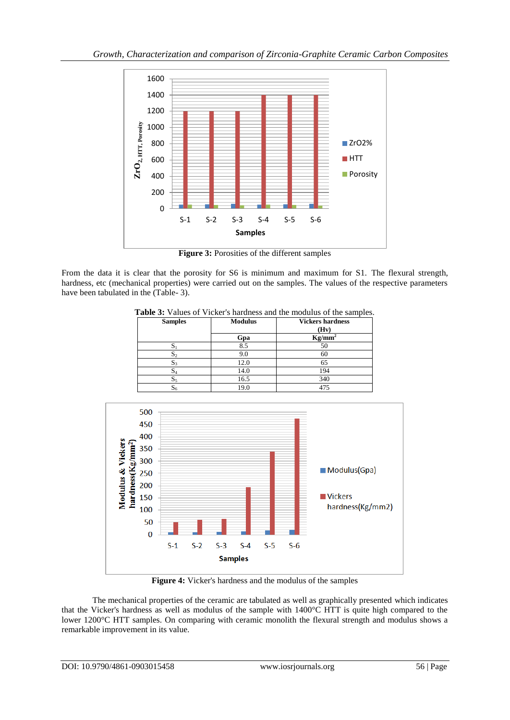

**Figure 3:** Porosities of the different samples

From the data it is clear that the porosity for S6 is minimum and maximum for S1. The flexural strength, hardness, etc (mechanical properties) were carried out on the samples. The values of the respective parameters have been tabulated in the (Table- 3).

**Table 3:** Values of Vicker's hardness and the modulus of the samples.

| <b>Samples</b> | <b>Modulus</b> | <b>Vickers hardness</b> |
|----------------|----------------|-------------------------|
|                |                | (Hv)                    |
|                | Gpa            | $Kg/mm^2$               |
| C.             | 8.5            | 50                      |
| $S_2$          | 9.0            | 60                      |
| 33             | 12.0           | 65                      |
| $S_4$          | 14.0           | 194                     |
| - 5            | 16.5           | 340                     |
| 06             | 19.0           | 475                     |



**Figure 4:** Vicker's hardness and the modulus of the samples

The mechanical properties of the ceramic are tabulated as well as graphically presented which indicates that the Vicker's hardness as well as modulus of the sample with 1400°C HTT is quite high compared to the lower 1200°C HTT samples. On comparing with ceramic monolith the flexural strength and modulus shows a remarkable improvement in its value.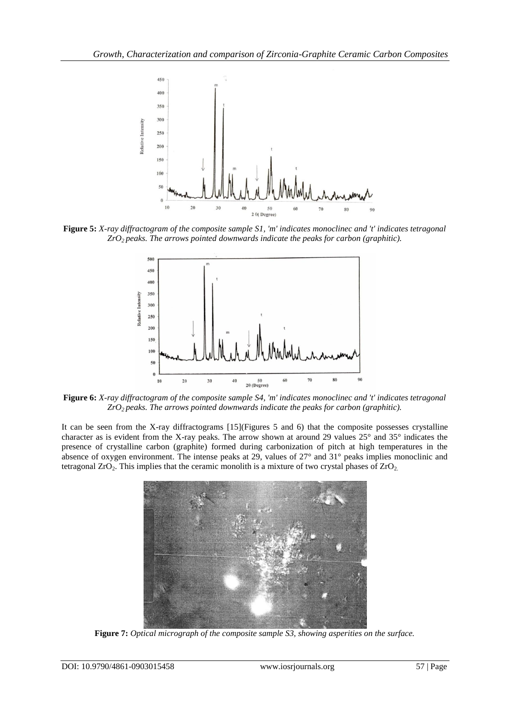

**Figure 5:** *X-ray diffractogram of the composite sample S1, 'm' indicates monoclinec and 't' indicates tetragonal ZrO2 peaks. The arrows pointed downwards indicate the peaks for carbon (graphitic).*



**Figure 6:** *X-ray diffractogram of the composite sample S4, 'm' indicates monoclinec and 't' indicates tetragonal ZrO2 peaks. The arrows pointed downwards indicate the peaks for carbon (graphitic).*

It can be seen from the X-ray diffractograms [15](Figures 5 and 6) that the composite possesses crystalline character as is evident from the X-ray peaks. The arrow shown at around 29 values 25° and 35° indicates the presence of crystalline carbon (graphite) formed during carbonization of pitch at high temperatures in the absence of oxygen environment. The intense peaks at 29, values of 27° and 31° peaks implies monoclinic and tetragonal  $ZrO_2$ . This implies that the ceramic monolith is a mixture of two crystal phases of  $ZrO_2$ .



**Figure 7:** *Optical micrograph of the composite sample S3, showing asperities on the surface.*